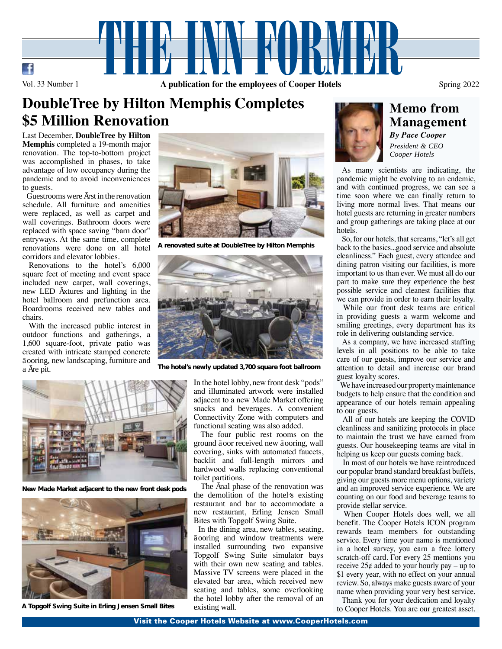

## **DoubleTree by Hilton Memphis Completes \$5 Million Renovation**

Last December, **DoubleTree by Hilton Memphis** completed a 19-month major renovation. The top-to-bottom project was accomplished in phases, to take advantage of low occupancy during the pandemic and to avoid inconveniences to guests.

 Guestrooms were first in the renovation schedule. All furniture and amenities were replaced, as well as carpet and wall coverings. Bathroom doors were replaced with space saving "barn door" entryways. At the same time, complete renovations were done on all hotel corridors and elevator lobbies.

 Renovations to the hotel's 6,000 square feet of meeting and event space included new carpet, wall coverings, new LED fixtures and lighting in the hotel ballroom and prefunction area. Boardrooms received new tables and chairs.

 With the increased public interest in outdoor functions and gatherings, a 1,600 square-foot, private patio was created with intricate stamped concrete fooring, new landscaping, furniture and a fire pit.



**New Made Market adjacent to the new front desk pods**



**A Topgolf Swing Suite in Erling Jensen Small Bites**



**A renovated suite at DoubleTree by Hilton Memphis**



**The hotel's newly updated 3,700 square foot ballroom**

In the hotel lobby, new front desk "pods" and illuminated artwork were installed adjacent to a new Made Market offering snacks and beverages. A convenient Connectivity Zone with computers and functional seating was also added.

 The four public rest rooms on the ground foor received new fooring, wall covering, sinks with automated faucets, backlit and full-length mirrors and hardwood walls replacing conventional toilet partitions.

The final phase of the renovation was the demolition of the hotel's existing restaurant and bar to accommodate a new restaurant, Erling Jensen Small Bites with Topgolf Swing Suite.

 In the dining area, new tables, seating, fooring and window treatments were installed surrounding two expansive Topgolf Swing Suite simulator bays with their own new seating and tables. Massive TV screens were placed in the elevated bar area, which received new seating and tables, some overlooking the hotel lobby after the removal of an existing wall.



### **Memo from Management** *By Pace Cooper*

*President & CEO Cooper Hotels*

 As many scientists are indicating, the pandemic might be evolving to an endemic, and with continued progress, we can see a time soon where we can finally return to living more normal lives. That means our hotel guests are returning in greater numbers and group gatherings are taking place at our hotels.

 So, for our hotels, that screams, "let's all get back to the basics...good service and absolute cleanliness." Each guest, every attendee and dining patron visiting our facilities, is more important to us than ever. We must all do our part to make sure they experience the best possible service and cleanest facilities that we can provide in order to earn their loyalty.

 While our front desk teams are critical in providing guests a warm welcome and smiling greetings, every department has its role in delivering outstanding service.

 As a company, we have increased staffing levels in all positions to be able to take care of our guests, improve our service and attention to detail and increase our brand guest loyalty scores.

 We have increased our property maintenance budgets to help ensure that the condition and appearance of our hotels remain appealing to our guests.

 All of our hotels are keeping the COVID cleanliness and sanitizing protocols in place to maintain the trust we have earned from guests. Our housekeeping teams are vital in helping us keep our guests coming back.

 In most of our hotels we have reintroduced our popular brand standard breakfast buffets, giving our guests more menu options, variety and an improved service experience. We are counting on our food and beverage teams to provide stellar service.

 When Cooper Hotels does well, we all benefit. The Cooper Hotels ICON program rewards team members for outstanding service. Every time your name is mentioned in a hotel survey, you earn a free lottery scratch-off card. For every 25 mentions you receive  $25¢$  added to your hourly pay – up to \$1 every year, with no effect on your annual review. So, always make guests aware of your name when providing your very best service.

 Thank you for your dedication and loyalty to Cooper Hotels. You are our greatest asset.